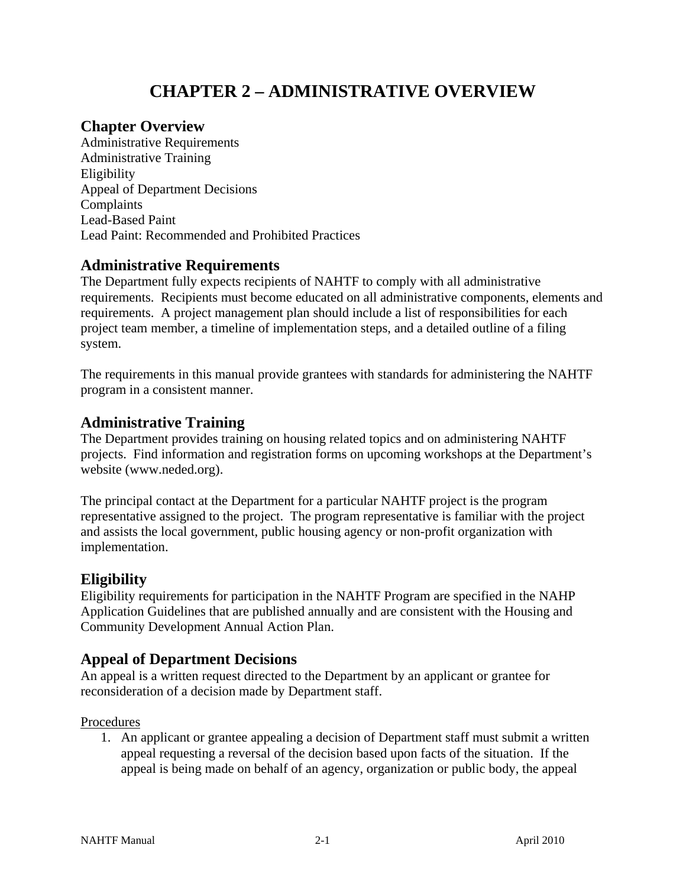# **CHAPTER 2 – ADMINISTRATIVE OVERVIEW**

# **Chapter Overview**

Administrative Requirements Administrative Training Eligibility Appeal of Department Decisions Complaints Lead-Based Paint Lead Paint: Recommended and Prohibited Practices

# **Administrative Requirements**

The Department fully expects recipients of NAHTF to comply with all administrative requirements. Recipients must become educated on all administrative components, elements and requirements. A project management plan should include a list of responsibilities for each project team member, a timeline of implementation steps, and a detailed outline of a filing system.

The requirements in this manual provide grantees with standards for administering the NAHTF program in a consistent manner.

# **Administrative Training**

The Department provides training on housing related topics and on administering NAHTF projects. Find information and registration forms on upcoming workshops at the Department's website (www.neded.org).

The principal contact at the Department for a particular NAHTF project is the program representative assigned to the project. The program representative is familiar with the project and assists the local government, public housing agency or non-profit organization with implementation.

# **Eligibility**

Eligibility requirements for participation in the NAHTF Program are specified in the NAHP Application Guidelines that are published annually and are consistent with the Housing and Community Development Annual Action Plan.

# **Appeal of Department Decisions**

An appeal is a written request directed to the Department by an applicant or grantee for reconsideration of a decision made by Department staff.

# Procedures

1. An applicant or grantee appealing a decision of Department staff must submit a written appeal requesting a reversal of the decision based upon facts of the situation. If the appeal is being made on behalf of an agency, organization or public body, the appeal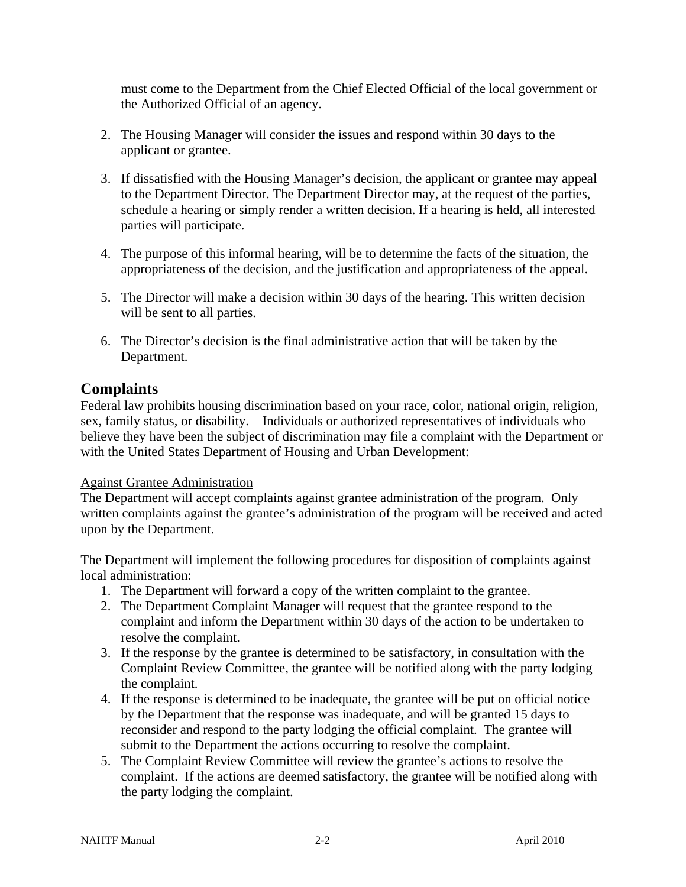must come to the Department from the Chief Elected Official of the local government or the Authorized Official of an agency.

- 2. The Housing Manager will consider the issues and respond within 30 days to the applicant or grantee.
- 3. If dissatisfied with the Housing Manager's decision, the applicant or grantee may appeal to the Department Director. The Department Director may, at the request of the parties, schedule a hearing or simply render a written decision. If a hearing is held, all interested parties will participate.
- 4. The purpose of this informal hearing, will be to determine the facts of the situation, the appropriateness of the decision, and the justification and appropriateness of the appeal.
- 5. The Director will make a decision within 30 days of the hearing. This written decision will be sent to all parties.
- 6. The Director's decision is the final administrative action that will be taken by the Department.

# **Complaints**

Federal law prohibits housing discrimination based on your race, color, national origin, religion, sex, family status, or disability. Individuals or authorized representatives of individuals who believe they have been the subject of discrimination may file a complaint with the Department or with the United States Department of Housing and Urban Development:

# Against Grantee Administration

The Department will accept complaints against grantee administration of the program. Only written complaints against the grantee's administration of the program will be received and acted upon by the Department.

The Department will implement the following procedures for disposition of complaints against local administration:

- 1. The Department will forward a copy of the written complaint to the grantee.
- 2. The Department Complaint Manager will request that the grantee respond to the complaint and inform the Department within 30 days of the action to be undertaken to resolve the complaint.
- 3. If the response by the grantee is determined to be satisfactory, in consultation with the Complaint Review Committee, the grantee will be notified along with the party lodging the complaint.
- 4. If the response is determined to be inadequate, the grantee will be put on official notice by the Department that the response was inadequate, and will be granted 15 days to reconsider and respond to the party lodging the official complaint. The grantee will submit to the Department the actions occurring to resolve the complaint.
- 5. The Complaint Review Committee will review the grantee's actions to resolve the complaint. If the actions are deemed satisfactory, the grantee will be notified along with the party lodging the complaint.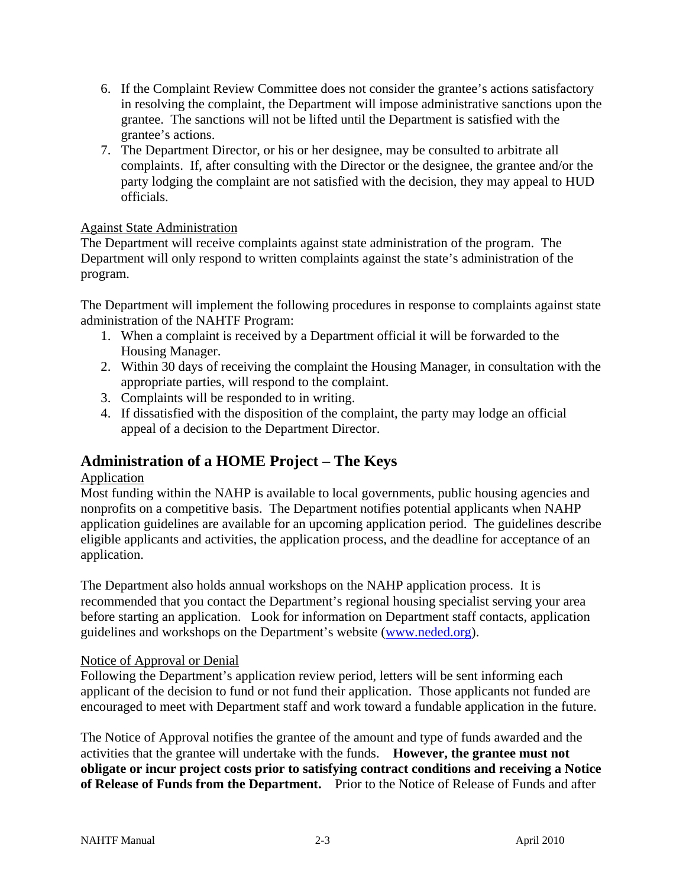- 6. If the Complaint Review Committee does not consider the grantee's actions satisfactory in resolving the complaint, the Department will impose administrative sanctions upon the grantee. The sanctions will not be lifted until the Department is satisfied with the grantee's actions.
- 7. The Department Director, or his or her designee, may be consulted to arbitrate all complaints. If, after consulting with the Director or the designee, the grantee and/or the party lodging the complaint are not satisfied with the decision, they may appeal to HUD officials.

### Against State Administration

The Department will receive complaints against state administration of the program. The Department will only respond to written complaints against the state's administration of the program.

The Department will implement the following procedures in response to complaints against state administration of the NAHTF Program:

- 1. When a complaint is received by a Department official it will be forwarded to the Housing Manager.
- 2. Within 30 days of receiving the complaint the Housing Manager, in consultation with the appropriate parties, will respond to the complaint.
- 3. Complaints will be responded to in writing.
- 4. If dissatisfied with the disposition of the complaint, the party may lodge an official appeal of a decision to the Department Director.

# **Administration of a HOME Project – The Keys**

#### Application

Most funding within the NAHP is available to local governments, public housing agencies and nonprofits on a competitive basis. The Department notifies potential applicants when NAHP application guidelines are available for an upcoming application period. The guidelines describe eligible applicants and activities, the application process, and the deadline for acceptance of an application.

The Department also holds annual workshops on the NAHP application process. It is recommended that you contact the Department's regional housing specialist serving your area before starting an application. Look for information on Department staff contacts, application guidelines and workshops on the Department's website (www.neded.org).

#### Notice of Approval or Denial

Following the Department's application review period, letters will be sent informing each applicant of the decision to fund or not fund their application. Those applicants not funded are encouraged to meet with Department staff and work toward a fundable application in the future.

The Notice of Approval notifies the grantee of the amount and type of funds awarded and the activities that the grantee will undertake with the funds. **However, the grantee must not obligate or incur project costs prior to satisfying contract conditions and receiving a Notice of Release of Funds from the Department.** Prior to the Notice of Release of Funds and after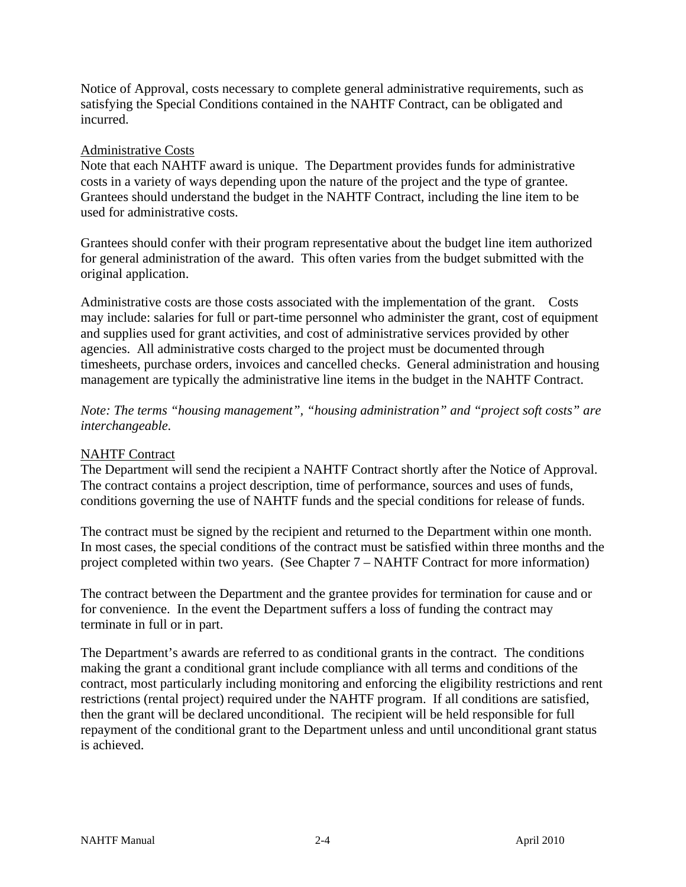Notice of Approval, costs necessary to complete general administrative requirements, such as satisfying the Special Conditions contained in the NAHTF Contract, can be obligated and incurred.

#### Administrative Costs

Note that each NAHTF award is unique. The Department provides funds for administrative costs in a variety of ways depending upon the nature of the project and the type of grantee. Grantees should understand the budget in the NAHTF Contract, including the line item to be used for administrative costs.

Grantees should confer with their program representative about the budget line item authorized for general administration of the award. This often varies from the budget submitted with the original application.

Administrative costs are those costs associated with the implementation of the grant. Costs may include: salaries for full or part-time personnel who administer the grant, cost of equipment and supplies used for grant activities, and cost of administrative services provided by other agencies. All administrative costs charged to the project must be documented through timesheets, purchase orders, invoices and cancelled checks. General administration and housing management are typically the administrative line items in the budget in the NAHTF Contract.

*Note: The terms "housing management", "housing administration" and "project soft costs" are interchangeable.* 

# NAHTF Contract

The Department will send the recipient a NAHTF Contract shortly after the Notice of Approval. The contract contains a project description, time of performance, sources and uses of funds, conditions governing the use of NAHTF funds and the special conditions for release of funds.

The contract must be signed by the recipient and returned to the Department within one month. In most cases, the special conditions of the contract must be satisfied within three months and the project completed within two years. (See Chapter 7 – NAHTF Contract for more information)

The contract between the Department and the grantee provides for termination for cause and or for convenience. In the event the Department suffers a loss of funding the contract may terminate in full or in part.

The Department's awards are referred to as conditional grants in the contract. The conditions making the grant a conditional grant include compliance with all terms and conditions of the contract, most particularly including monitoring and enforcing the eligibility restrictions and rent restrictions (rental project) required under the NAHTF program. If all conditions are satisfied, then the grant will be declared unconditional. The recipient will be held responsible for full repayment of the conditional grant to the Department unless and until unconditional grant status is achieved.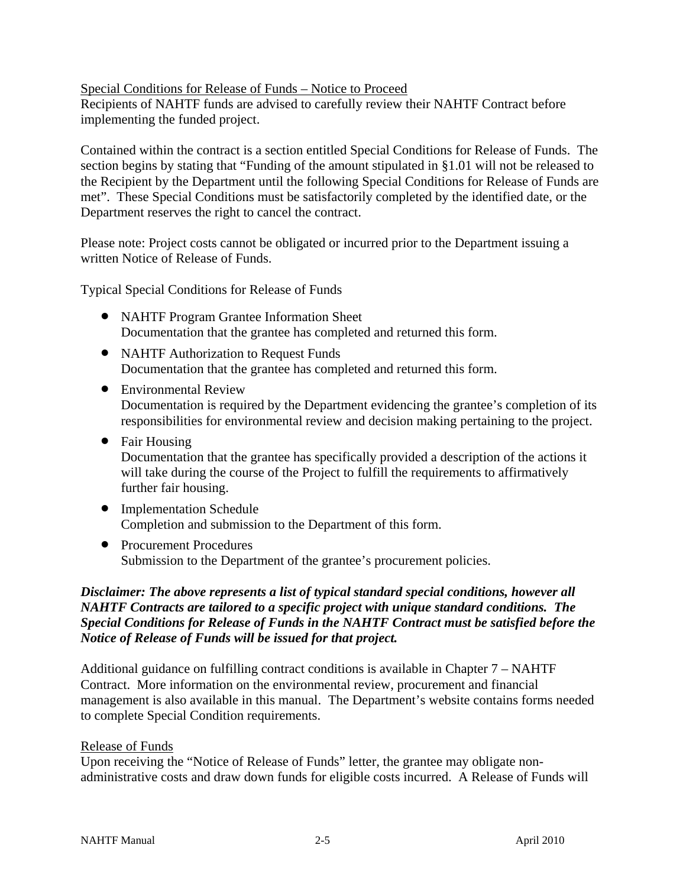### Special Conditions for Release of Funds – Notice to Proceed

Recipients of NAHTF funds are advised to carefully review their NAHTF Contract before implementing the funded project.

Contained within the contract is a section entitled Special Conditions for Release of Funds. The section begins by stating that "Funding of the amount stipulated in §1.01 will not be released to the Recipient by the Department until the following Special Conditions for Release of Funds are met". These Special Conditions must be satisfactorily completed by the identified date, or the Department reserves the right to cancel the contract.

Please note: Project costs cannot be obligated or incurred prior to the Department issuing a written Notice of Release of Funds.

Typical Special Conditions for Release of Funds

- NAHTF Program Grantee Information Sheet Documentation that the grantee has completed and returned this form.
- NAHTF Authorization to Request Funds Documentation that the grantee has completed and returned this form.
- Environmental Review Documentation is required by the Department evidencing the grantee's completion of its responsibilities for environmental review and decision making pertaining to the project.
- Fair Housing Documentation that the grantee has specifically provided a description of the actions it will take during the course of the Project to fulfill the requirements to affirmatively further fair housing.
- Implementation Schedule Completion and submission to the Department of this form.
- Procurement Procedures Submission to the Department of the grantee's procurement policies.

# *Disclaimer: The above represents a list of typical standard special conditions, however all NAHTF Contracts are tailored to a specific project with unique standard conditions. The Special Conditions for Release of Funds in the NAHTF Contract must be satisfied before the Notice of Release of Funds will be issued for that project.*

Additional guidance on fulfilling contract conditions is available in Chapter 7 – NAHTF Contract. More information on the environmental review, procurement and financial management is also available in this manual. The Department's website contains forms needed to complete Special Condition requirements.

#### Release of Funds

Upon receiving the "Notice of Release of Funds" letter, the grantee may obligate nonadministrative costs and draw down funds for eligible costs incurred. A Release of Funds will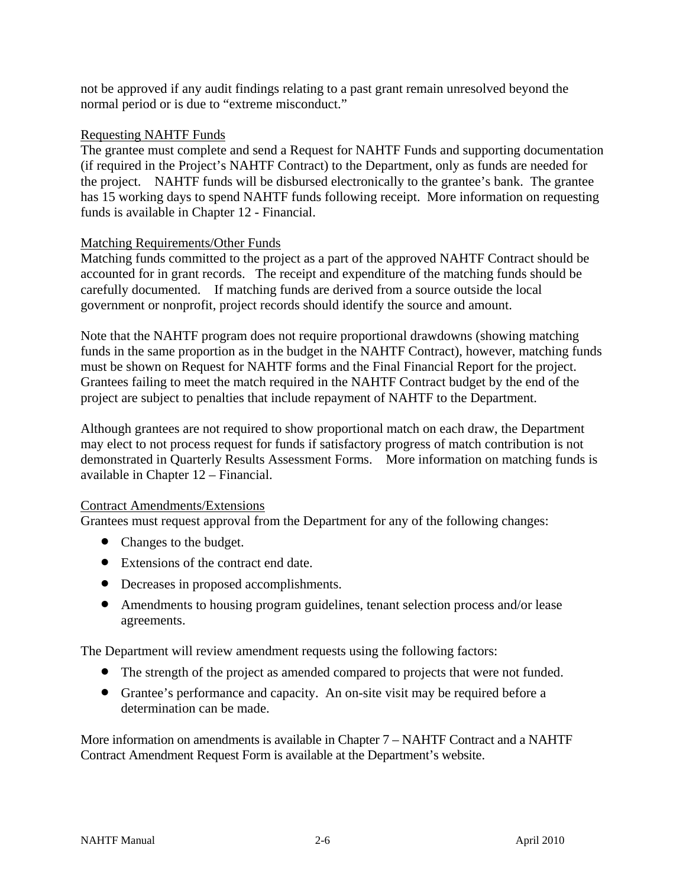not be approved if any audit findings relating to a past grant remain unresolved beyond the normal period or is due to "extreme misconduct."

### Requesting NAHTF Funds

The grantee must complete and send a Request for NAHTF Funds and supporting documentation (if required in the Project's NAHTF Contract) to the Department, only as funds are needed for the project. NAHTF funds will be disbursed electronically to the grantee's bank. The grantee has 15 working days to spend NAHTF funds following receipt. More information on requesting funds is available in Chapter 12 - Financial.

### Matching Requirements/Other Funds

Matching funds committed to the project as a part of the approved NAHTF Contract should be accounted for in grant records. The receipt and expenditure of the matching funds should be carefully documented. If matching funds are derived from a source outside the local government or nonprofit, project records should identify the source and amount.

Note that the NAHTF program does not require proportional drawdowns (showing matching funds in the same proportion as in the budget in the NAHTF Contract), however, matching funds must be shown on Request for NAHTF forms and the Final Financial Report for the project. Grantees failing to meet the match required in the NAHTF Contract budget by the end of the project are subject to penalties that include repayment of NAHTF to the Department.

Although grantees are not required to show proportional match on each draw, the Department may elect to not process request for funds if satisfactory progress of match contribution is not demonstrated in Quarterly Results Assessment Forms. More information on matching funds is available in Chapter 12 – Financial.

#### Contract Amendments/Extensions

Grantees must request approval from the Department for any of the following changes:

- Changes to the budget.
- Extensions of the contract end date.
- Decreases in proposed accomplishments.
- Amendments to housing program guidelines, tenant selection process and/or lease agreements.

The Department will review amendment requests using the following factors:

- The strength of the project as amended compared to projects that were not funded.
- Grantee's performance and capacity. An on-site visit may be required before a determination can be made.

More information on amendments is available in Chapter 7 – NAHTF Contract and a NAHTF Contract Amendment Request Form is available at the Department's website.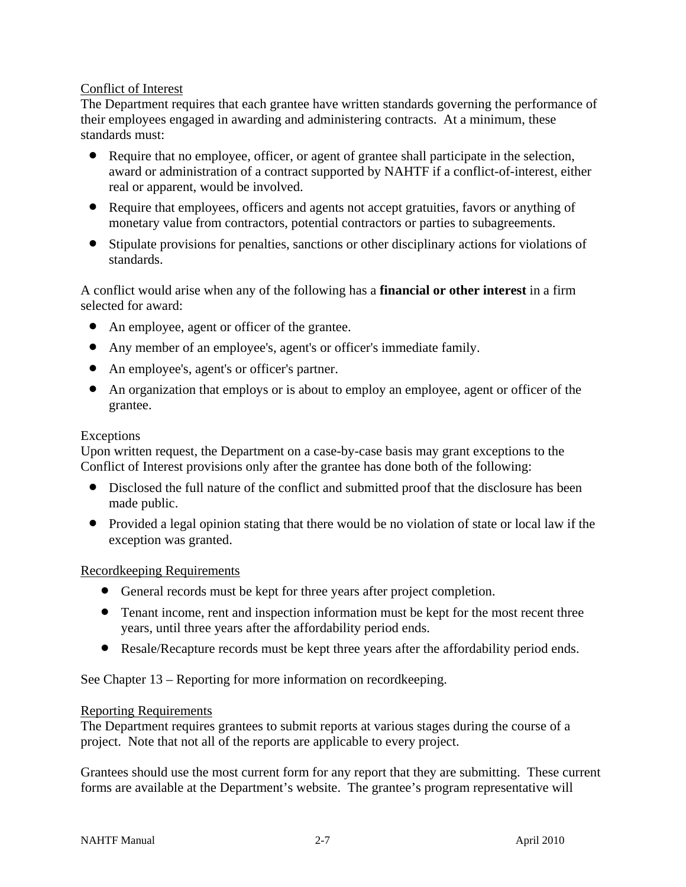# Conflict of Interest

The Department requires that each grantee have written standards governing the performance of their employees engaged in awarding and administering contracts. At a minimum, these standards must:

- Require that no employee, officer, or agent of grantee shall participate in the selection, award or administration of a contract supported by NAHTF if a conflict-of-interest, either real or apparent, would be involved.
- Require that employees, officers and agents not accept gratuities, favors or anything of monetary value from contractors, potential contractors or parties to subagreements.
- Stipulate provisions for penalties, sanctions or other disciplinary actions for violations of standards.

A conflict would arise when any of the following has a **financial or other interest** in a firm selected for award:

- An employee, agent or officer of the grantee.
- Any member of an employee's, agent's or officer's immediate family.
- An employee's, agent's or officer's partner.
- An organization that employs or is about to employ an employee, agent or officer of the grantee.

#### Exceptions

Upon written request, the Department on a case-by-case basis may grant exceptions to the Conflict of Interest provisions only after the grantee has done both of the following:

- Disclosed the full nature of the conflict and submitted proof that the disclosure has been made public.
- Provided a legal opinion stating that there would be no violation of state or local law if the exception was granted.

#### Recordkeeping Requirements

- General records must be kept for three years after project completion.
- Tenant income, rent and inspection information must be kept for the most recent three years, until three years after the affordability period ends.
- Resale/Recapture records must be kept three years after the affordability period ends.

See Chapter 13 – Reporting for more information on recordkeeping.

#### Reporting Requirements

The Department requires grantees to submit reports at various stages during the course of a project. Note that not all of the reports are applicable to every project.

Grantees should use the most current form for any report that they are submitting. These current forms are available at the Department's website. The grantee's program representative will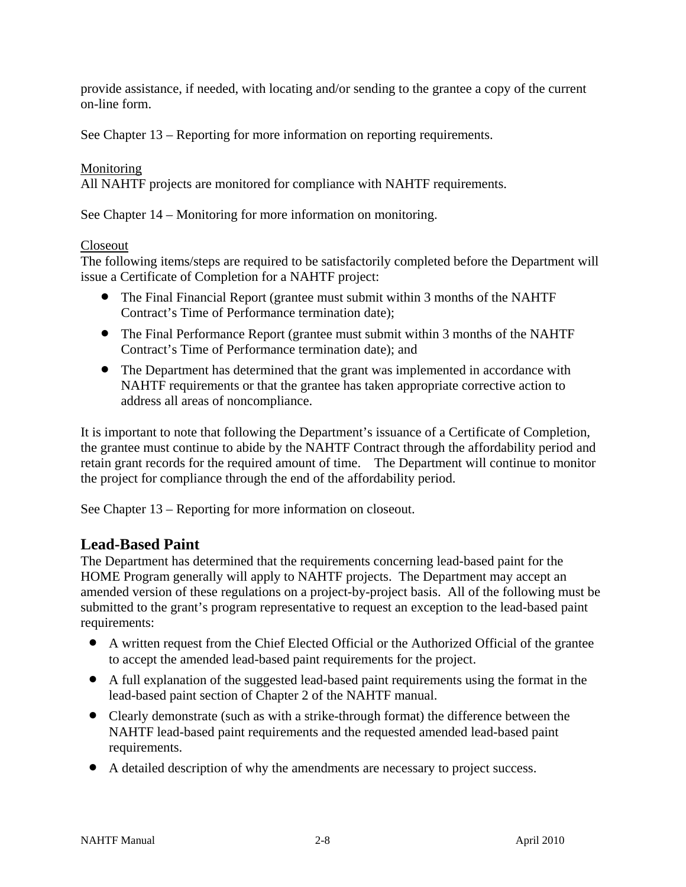provide assistance, if needed, with locating and/or sending to the grantee a copy of the current on-line form.

See Chapter 13 – Reporting for more information on reporting requirements.

# Monitoring

All NAHTF projects are monitored for compliance with NAHTF requirements.

See Chapter 14 – Monitoring for more information on monitoring.

### Closeout

The following items/steps are required to be satisfactorily completed before the Department will issue a Certificate of Completion for a NAHTF project:

- The Final Financial Report (grantee must submit within 3 months of the NAHTF Contract's Time of Performance termination date);
- The Final Performance Report (grantee must submit within 3 months of the NAHTF Contract's Time of Performance termination date); and
- The Department has determined that the grant was implemented in accordance with NAHTF requirements or that the grantee has taken appropriate corrective action to address all areas of noncompliance.

It is important to note that following the Department's issuance of a Certificate of Completion, the grantee must continue to abide by the NAHTF Contract through the affordability period and retain grant records for the required amount of time. The Department will continue to monitor the project for compliance through the end of the affordability period.

See Chapter 13 – Reporting for more information on closeout.

# **Lead-Based Paint**

The Department has determined that the requirements concerning lead-based paint for the HOME Program generally will apply to NAHTF projects. The Department may accept an amended version of these regulations on a project-by-project basis. All of the following must be submitted to the grant's program representative to request an exception to the lead-based paint requirements:

- A written request from the Chief Elected Official or the Authorized Official of the grantee to accept the amended lead-based paint requirements for the project.
- A full explanation of the suggested lead-based paint requirements using the format in the lead-based paint section of Chapter 2 of the NAHTF manual.
- Clearly demonstrate (such as with a strike-through format) the difference between the NAHTF lead-based paint requirements and the requested amended lead-based paint requirements.
- A detailed description of why the amendments are necessary to project success.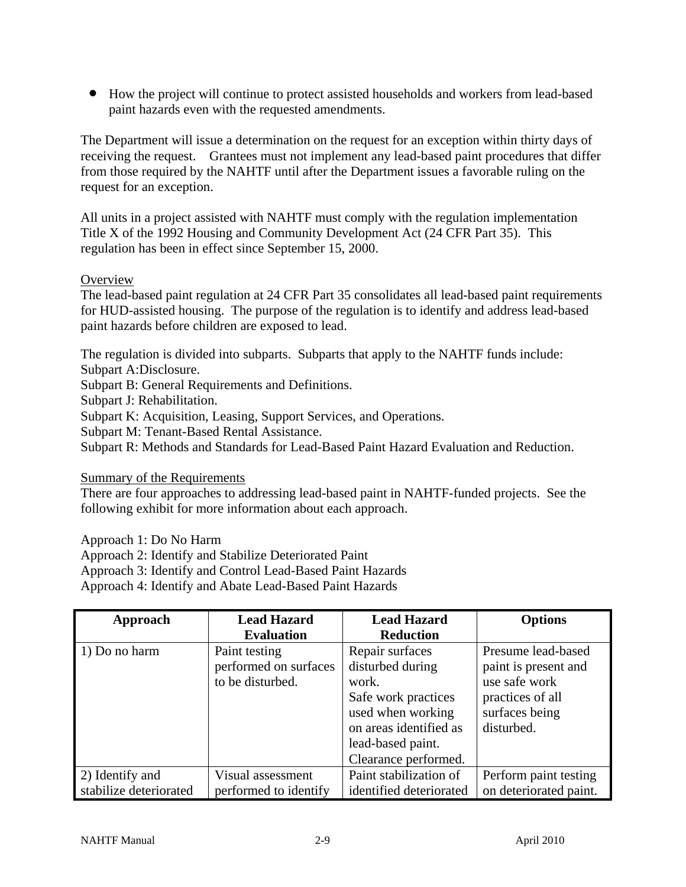How the project will continue to protect assisted households and workers from lead-based paint hazards even with the requested amendments.

The Department will issue a determination on the request for an exception within thirty days of receiving the request. Grantees must not implement any lead-based paint procedures that differ from those required by the NAHTF until after the Department issues a favorable ruling on the request for an exception.

All units in a project assisted with NAHTF must comply with the regulation implementation Title X of the 1992 Housing and Community Development Act (24 CFR Part 35). This regulation has been in effect since September 15, 2000.

### **Overview**

The lead-based paint regulation at 24 CFR Part 35 consolidates all lead-based paint requirements for HUD-assisted housing. The purpose of the regulation is to identify and address lead-based paint hazards before children are exposed to lead.

The regulation is divided into subparts. Subparts that apply to the NAHTF funds include: Subpart A:Disclosure.

Subpart B: General Requirements and Definitions.

Subpart J: Rehabilitation.

Subpart K: Acquisition, Leasing, Support Services, and Operations.

Subpart M: Tenant-Based Rental Assistance.

Subpart R: Methods and Standards for Lead-Based Paint Hazard Evaluation and Reduction.

Summary of the Requirements

There are four approaches to addressing lead-based paint in NAHTF-funded projects. See the following exhibit for more information about each approach.

Approach 1: Do No Harm

Approach 2: Identify and Stabilize Deteriorated Paint

Approach 3: Identify and Control Lead-Based Paint Hazards

Approach 4: Identify and Abate Lead-Based Paint Hazards

| Approach               | <b>Lead Hazard</b>    | <b>Lead Hazard</b>      | <b>Options</b>         |
|------------------------|-----------------------|-------------------------|------------------------|
|                        | <b>Evaluation</b>     | <b>Reduction</b>        |                        |
| 1) Do no harm          | Paint testing         | Repair surfaces         | Presume lead-based     |
|                        | performed on surfaces | disturbed during        | paint is present and   |
|                        | to be disturbed.      | work.                   | use safe work          |
|                        |                       | Safe work practices     | practices of all       |
|                        |                       | used when working       | surfaces being         |
|                        |                       | on areas identified as  | disturbed.             |
|                        |                       | lead-based paint.       |                        |
|                        |                       | Clearance performed.    |                        |
| 2) Identify and        | Visual assessment     | Paint stabilization of  | Perform paint testing  |
| stabilize deteriorated | performed to identify | identified deteriorated | on deteriorated paint. |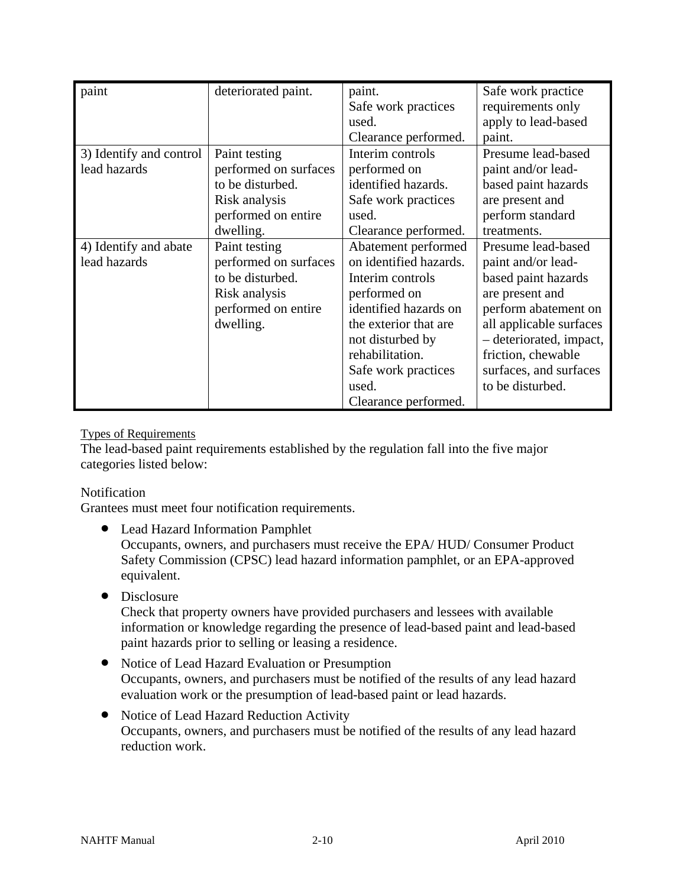| paint                   | deteriorated paint.   | paint.                 | Safe work practice      |
|-------------------------|-----------------------|------------------------|-------------------------|
|                         |                       | Safe work practices    | requirements only       |
|                         |                       | used.                  | apply to lead-based     |
|                         |                       | Clearance performed.   | paint.                  |
| 3) Identify and control | Paint testing         | Interim controls       | Presume lead-based      |
| lead hazards            | performed on surfaces | performed on           | paint and/or lead-      |
|                         | to be disturbed.      | identified hazards.    | based paint hazards     |
|                         | Risk analysis         | Safe work practices    | are present and         |
|                         | performed on entire   | used.                  | perform standard        |
|                         | dwelling.             | Clearance performed.   | treatments.             |
| 4) Identify and abate   | Paint testing         | Abatement performed    | Presume lead-based      |
| lead hazards            | performed on surfaces | on identified hazards. | paint and/or lead-      |
|                         | to be disturbed.      | Interim controls       | based paint hazards     |
|                         | Risk analysis         | performed on           | are present and         |
|                         | performed on entire   | identified hazards on  | perform abatement on    |
|                         | dwelling.             | the exterior that are  | all applicable surfaces |
|                         |                       | not disturbed by       | - deteriorated, impact, |
|                         |                       | rehabilitation.        | friction, chewable      |
|                         |                       | Safe work practices    | surfaces, and surfaces  |
|                         |                       | used.                  | to be disturbed.        |
|                         |                       | Clearance performed.   |                         |

### Types of Requirements

The lead-based paint requirements established by the regulation fall into the five major categories listed below:

Notification

Grantees must meet four notification requirements.

- Lead Hazard Information Pamphlet Occupants, owners, and purchasers must receive the EPA/ HUD/ Consumer Product Safety Commission (CPSC) lead hazard information pamphlet, or an EPA-approved equivalent.
- Disclosure

Check that property owners have provided purchasers and lessees with available information or knowledge regarding the presence of lead-based paint and lead-based paint hazards prior to selling or leasing a residence.

- Notice of Lead Hazard Evaluation or Presumption Occupants, owners, and purchasers must be notified of the results of any lead hazard evaluation work or the presumption of lead-based paint or lead hazards.
- Notice of Lead Hazard Reduction Activity Occupants, owners, and purchasers must be notified of the results of any lead hazard reduction work.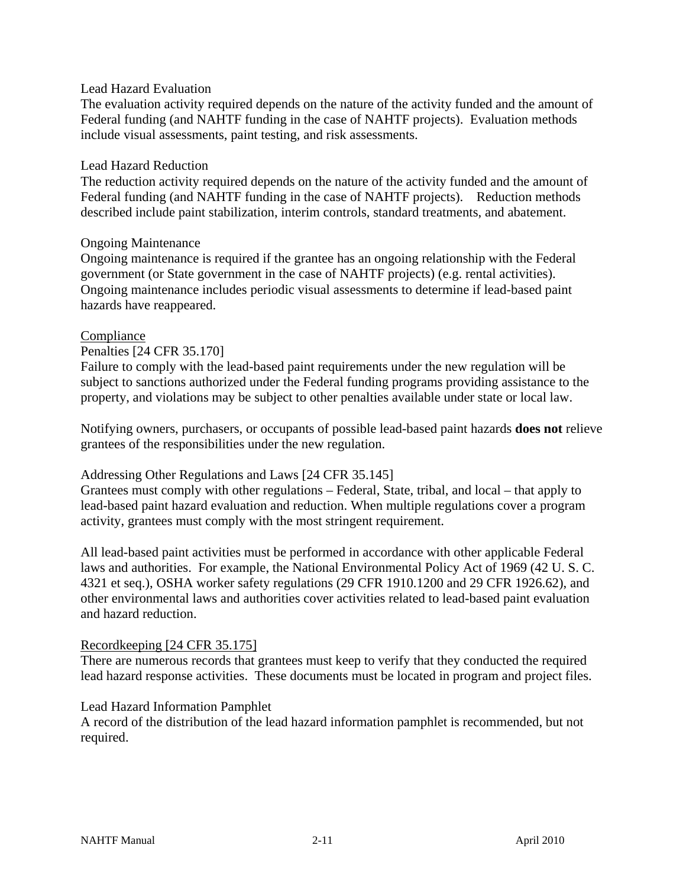#### Lead Hazard Evaluation

The evaluation activity required depends on the nature of the activity funded and the amount of Federal funding (and NAHTF funding in the case of NAHTF projects). Evaluation methods include visual assessments, paint testing, and risk assessments.

#### Lead Hazard Reduction

The reduction activity required depends on the nature of the activity funded and the amount of Federal funding (and NAHTF funding in the case of NAHTF projects). Reduction methods described include paint stabilization, interim controls, standard treatments, and abatement.

#### Ongoing Maintenance

Ongoing maintenance is required if the grantee has an ongoing relationship with the Federal government (or State government in the case of NAHTF projects) (e.g. rental activities). Ongoing maintenance includes periodic visual assessments to determine if lead-based paint hazards have reappeared.

#### Compliance

Penalties [24 CFR 35.170]

Failure to comply with the lead-based paint requirements under the new regulation will be subject to sanctions authorized under the Federal funding programs providing assistance to the property, and violations may be subject to other penalties available under state or local law.

Notifying owners, purchasers, or occupants of possible lead-based paint hazards **does not** relieve grantees of the responsibilities under the new regulation.

#### Addressing Other Regulations and Laws [24 CFR 35.145]

Grantees must comply with other regulations – Federal, State, tribal, and local – that apply to lead-based paint hazard evaluation and reduction. When multiple regulations cover a program activity, grantees must comply with the most stringent requirement.

All lead-based paint activities must be performed in accordance with other applicable Federal laws and authorities. For example, the National Environmental Policy Act of 1969 (42 U. S. C. 4321 et seq.), OSHA worker safety regulations (29 CFR 1910.1200 and 29 CFR 1926.62), and other environmental laws and authorities cover activities related to lead-based paint evaluation and hazard reduction.

#### Recordkeeping [24 CFR 35.175]

There are numerous records that grantees must keep to verify that they conducted the required lead hazard response activities. These documents must be located in program and project files.

#### Lead Hazard Information Pamphlet

A record of the distribution of the lead hazard information pamphlet is recommended, but not required.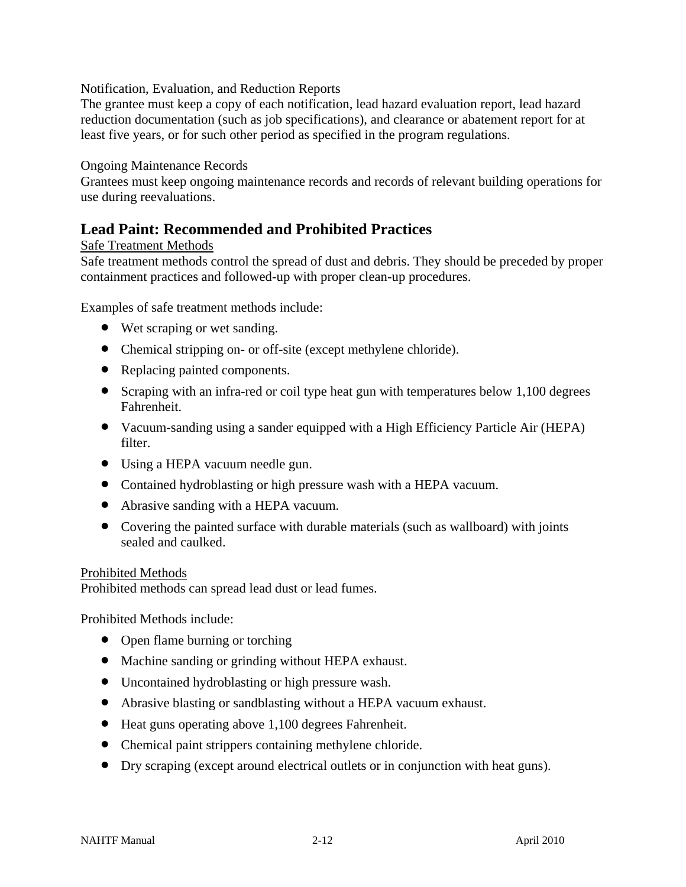Notification, Evaluation, and Reduction Reports

The grantee must keep a copy of each notification, lead hazard evaluation report, lead hazard reduction documentation (such as job specifications), and clearance or abatement report for at least five years, or for such other period as specified in the program regulations.

### Ongoing Maintenance Records

Grantees must keep ongoing maintenance records and records of relevant building operations for use during reevaluations.

# **Lead Paint: Recommended and Prohibited Practices**

### Safe Treatment Methods

Safe treatment methods control the spread of dust and debris. They should be preceded by proper containment practices and followed-up with proper clean-up procedures.

Examples of safe treatment methods include:

- Wet scraping or wet sanding.
- Chemical stripping on- or off-site (except methylene chloride).
- Replacing painted components.
- Scraping with an infra-red or coil type heat gun with temperatures below 1,100 degrees Fahrenheit.
- Vacuum-sanding using a sander equipped with a High Efficiency Particle Air (HEPA) filter.
- Using a HEPA vacuum needle gun.
- Contained hydroblasting or high pressure wash with a HEPA vacuum.
- Abrasive sanding with a HEPA vacuum.
- Covering the painted surface with durable materials (such as wallboard) with joints sealed and caulked.

#### Prohibited Methods

Prohibited methods can spread lead dust or lead fumes.

Prohibited Methods include:

- Open flame burning or torching
- Machine sanding or grinding without HEPA exhaust.
- Uncontained hydroblasting or high pressure wash.
- Abrasive blasting or sandblasting without a HEPA vacuum exhaust.
- Heat guns operating above 1,100 degrees Fahrenheit.
- Chemical paint strippers containing methylene chloride.
- Dry scraping (except around electrical outlets or in conjunction with heat guns).